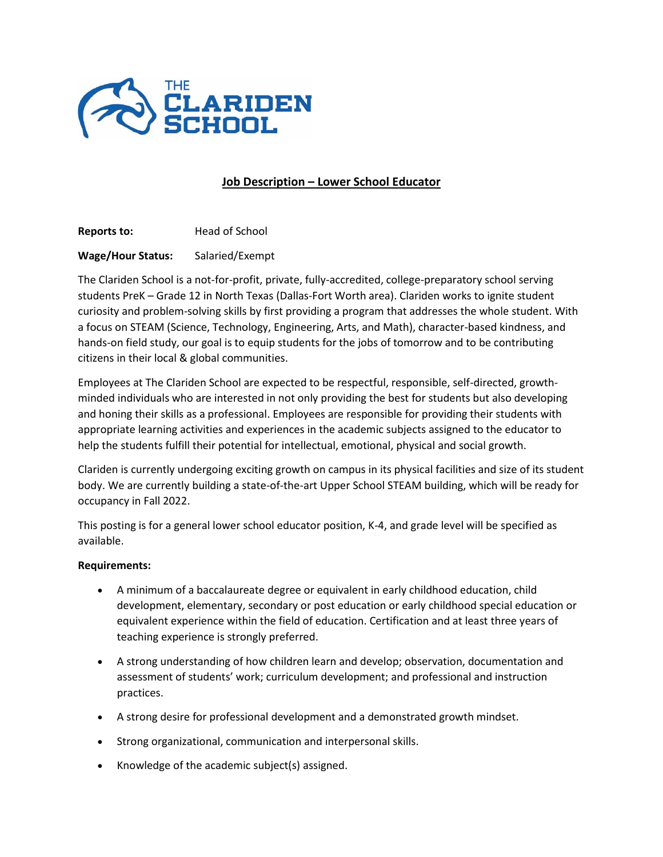

## **Job Description – Lower School Educator**

**Reports to: Head of School** 

## **Wage/Hour Status:** Salaried/Exempt

The Clariden School is a not-for-profit, private, fully-accredited, college-preparatory school serving students PreK – Grade 12 in North Texas (Dallas-Fort Worth area). Clariden works to ignite student curiosity and problem-solving skills by first providing a program that addresses the whole student. With a focus on STEAM (Science, Technology, Engineering, Arts, and Math), character-based kindness, and hands-on field study, our goal is to equip students for the jobs of tomorrow and to be contributing citizens in their local & global communities.

Employees at The Clariden School are expected to be respectful, responsible, self-directed, growthminded individuals who are interested in not only providing the best for students but also developing and honing their skills as a professional. Employees are responsible for providing their students with appropriate learning activities and experiences in the academic subjects assigned to the educator to help the students fulfill their potential for intellectual, emotional, physical and social growth.

Clariden is currently undergoing exciting growth on campus in its physical facilities and size of its student body. We are currently building a state-of-the-art Upper School STEAM building, which will be ready for occupancy in Fall 2022.

This posting is for a general lower school educator position, K-4, and grade level will be specified as available.

## **Requirements:**

- A minimum of a baccalaureate degree or equivalent in early childhood education, child development, elementary, secondary or post education or early childhood special education or equivalent experience within the field of education. Certification and at least three years of teaching experience is strongly preferred.
- A strong understanding of how children learn and develop; observation, documentation and assessment of students' work; curriculum development; and professional and instruction practices.
- A strong desire for professional development and a demonstrated growth mindset.
- Strong organizational, communication and interpersonal skills.
- Knowledge of the academic subject(s) assigned.